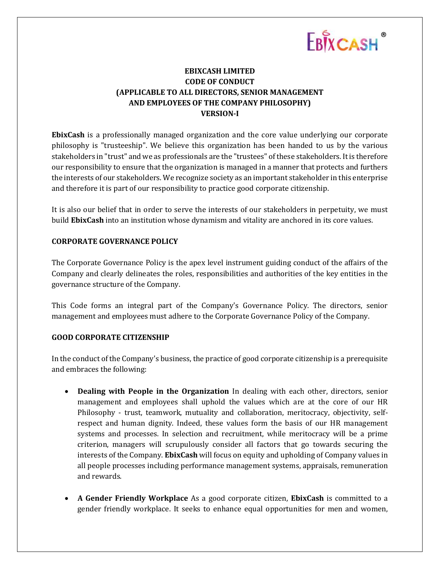# EBIXCASH ®

## **EBIXCASH LIMITED CODE OF CONDUCT (APPLICABLE TO ALL DIRECTORS, SENIOR MANAGEMENT AND EMPLOYEES OF THE COMPANY PHILOSOPHY) VERSION-I**

**EbixCash** is a professionally managed organization and the core value underlying our corporate philosophy is "trusteeship". We believe this organization has been handed to us by the various stakeholders in "trust" and we as professionals are the "trustees" of these stakeholders. It is therefore our responsibility to ensure that the organization is managed in a manner that protects and furthers the interests of our stakeholders. We recognize society as an important stakeholder in this enterprise and therefore it is part of our responsibility to practice good corporate citizenship.

It is also our belief that in order to serve the interests of our stakeholders in perpetuity, we must build **EbixCash** into an institution whose dynamism and vitality are anchored in its core values.

### **CORPORATE GOVERNANCE POLICY**

The Corporate Governance Policy is the apex level instrument guiding conduct of the affairs of the Company and clearly delineates the roles, responsibilities and authorities of the key entities in the governance structure of the Company.

This Code forms an integral part of the Company's Governance Policy. The directors, senior management and employees must adhere to the Corporate Governance Policy of the Company.

#### **GOOD CORPORATE CITIZENSHIP**

In the conduct of the Company's business, the practice of good corporate citizenship is a prerequisite and embraces the following:

- **Dealing with People in the Organization** In dealing with each other, directors, senior management and employees shall uphold the values which are at the core of our HR Philosophy - trust, teamwork, mutuality and collaboration, meritocracy, objectivity, selfrespect and human dignity. Indeed, these values form the basis of our HR management systems and processes. In selection and recruitment, while meritocracy will be a prime criterion, managers will scrupulously consider all factors that go towards securing the interests of the Company. **EbixCash** will focus on equity and upholding of Company values in all people processes including performance management systems, appraisals, remuneration and rewards.
- **A Gender Friendly Workplace** As a good corporate citizen, **EbixCash** is committed to a gender friendly workplace. It seeks to enhance equal opportunities for men and women,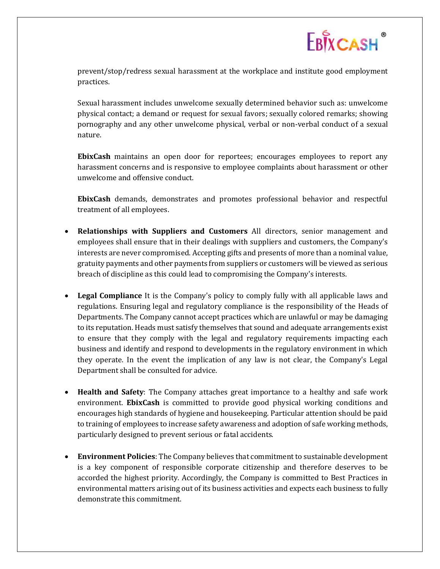

prevent/stop/redress sexual harassment at the workplace and institute good employment practices.

Sexual harassment includes unwelcome sexually determined behavior such as: unwelcome physical contact; a demand or request for sexual favors; sexually colored remarks; showing pornography and any other unwelcome physical, verbal or non-verbal conduct of a sexual nature.

**EbixCash** maintains an open door for reportees; encourages employees to report any harassment concerns and is responsive to employee complaints about harassment or other unwelcome and offensive conduct.

**EbixCash** demands, demonstrates and promotes professional behavior and respectful treatment of all employees.

- **Relationships with Suppliers and Customers** All directors, senior management and employees shall ensure that in their dealings with suppliers and customers, the Company's interests are never compromised. Accepting gifts and presents of more than a nominal value, gratuity payments and other payments from suppliers or customers will be viewed as serious breach of discipline as this could lead to compromising the Company's interests.
- **Legal Compliance** It is the Company's policy to comply fully with all applicable laws and regulations. Ensuring legal and regulatory compliance is the responsibility of the Heads of Departments. The Company cannot accept practices which are unlawful or may be damaging to its reputation. Heads must satisfy themselves that sound and adequate arrangements exist to ensure that they comply with the legal and regulatory requirements impacting each business and identify and respond to developments in the regulatory environment in which they operate. In the event the implication of any law is not clear, the Company's Legal Department shall be consulted for advice.
- **Health and Safety**: The Company attaches great importance to a healthy and safe work environment. **EbixCash** is committed to provide good physical working conditions and encourages high standards of hygiene and housekeeping. Particular attention should be paid to training of employees to increase safety awareness and adoption of safe working methods, particularly designed to prevent serious or fatal accidents.
- **Environment Policies**: The Company believes that commitment to sustainable development is a key component of responsible corporate citizenship and therefore deserves to be accorded the highest priority. Accordingly, the Company is committed to Best Practices in environmental matters arising out of its business activities and expects each business to fully demonstrate this commitment.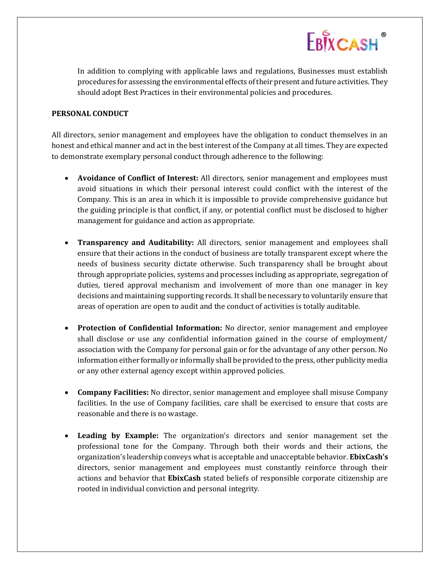

In addition to complying with applicable laws and regulations, Businesses must establish procedures for assessing the environmental effects of their present and future activities. They should adopt Best Practices in their environmental policies and procedures.

#### **PERSONAL CONDUCT**

All directors, senior management and employees have the obligation to conduct themselves in an honest and ethical manner and act in the best interest of the Company at all times. They are expected to demonstrate exemplary personal conduct through adherence to the following:

- **Avoidance of Conflict of Interest:** All directors, senior management and employees must avoid situations in which their personal interest could conflict with the interest of the Company. This is an area in which it is impossible to provide comprehensive guidance but the guiding principle is that conflict, if any, or potential conflict must be disclosed to higher management for guidance and action as appropriate.
- **Transparency and Auditability:** All directors, senior management and employees shall ensure that their actions in the conduct of business are totally transparent except where the needs of business security dictate otherwise. Such transparency shall be brought about through appropriate policies, systems and processes including as appropriate, segregation of duties, tiered approval mechanism and involvement of more than one manager in key decisions and maintaining supporting records. It shall be necessary to voluntarily ensure that areas of operation are open to audit and the conduct of activities is totally auditable.
- **Protection of Confidential Information:** No director, senior management and employee shall disclose or use any confidential information gained in the course of employment/ association with the Company for personal gain or for the advantage of any other person. No information either formally or informally shall be provided to the press, other publicity media or any other external agency except within approved policies.
- **Company Facilities:** No director, senior management and employee shall misuse Company facilities. In the use of Company facilities, care shall be exercised to ensure that costs are reasonable and there is no wastage.
- **Leading by Example:** The organization's directors and senior management set the professional tone for the Company. Through both their words and their actions, the organization's leadership conveys what is acceptable and unacceptable behavior. **EbixCash's**  directors, senior management and employees must constantly reinforce through their actions and behavior that **EbixCash** stated beliefs of responsible corporate citizenship are rooted in individual conviction and personal integrity.